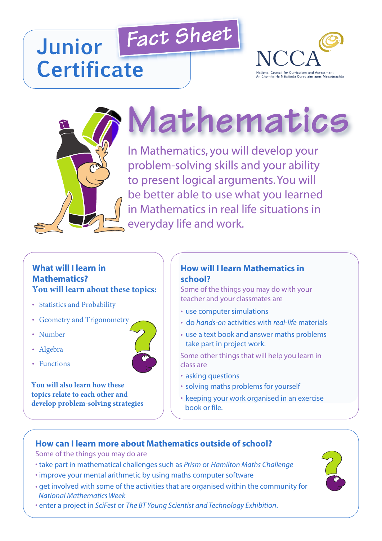# *Fact Sheet* **Junior Certificate**





# **Mathematics**

In Mathematics, you will develop your problem-solving skills and your ability to present logical arguments.You will be better able to use what you learned in Mathematics in real life situations in everyday life and work.

#### **What will I learn in Mathematics? You will learn about these topics:**

- Statistics and Probability
- Geometry and Trigonometry
- Number
- Algebra
- Functions

**You will also learn how these topics relate to each other and develop problem-solving strategies**

### **How will I learn Mathematics in school?**

Some of the things you may do with your teacher and your classmates are

- use computer simulations
- do *hands-on* activities with *real-life* materials
- use a text book and answer maths problems take part in project work.

Some other things that will help you learn in class are

- asking questions
- solving maths problems for yourself
- keeping your work organised in an exercise book or file.

# **How can I learn more about Mathematics outside of school?**

Some of the things you may do are

- take part in mathematical challenges such as *Prism* or *Hamilton Maths Challenge*
- improve your mental arithmetic by using maths computer software
- get involved with some of the activities that are organised within the community for *National Mathematics Week*